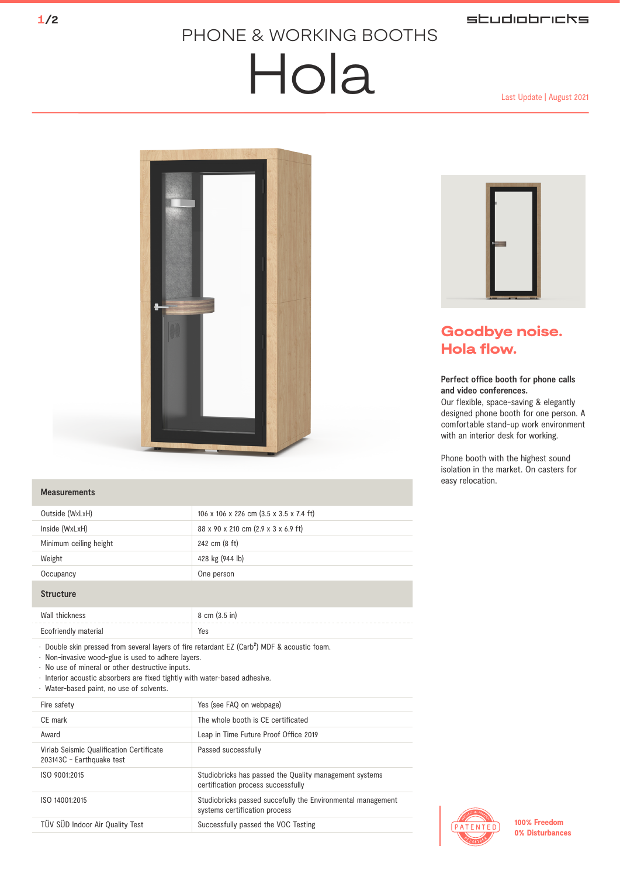### studiobricks

## PHONE & WORKING BOOTHS

# $H$ ola Last Update | August 2021



#### **Measurements**

| Outside (WxLxH)                                                                                                                                                                                                                                                                                                                              | 106 x 106 x 226 cm (3.5 x 3.5 x 7.4 ft) |
|----------------------------------------------------------------------------------------------------------------------------------------------------------------------------------------------------------------------------------------------------------------------------------------------------------------------------------------------|-----------------------------------------|
| Inside (WxLxH)                                                                                                                                                                                                                                                                                                                               | 88 x 90 x 210 cm (2.9 x 3 x 6.9 ft)     |
| Minimum ceiling height                                                                                                                                                                                                                                                                                                                       | 242 cm (8 ft)                           |
| Weight                                                                                                                                                                                                                                                                                                                                       | 428 kg (944 lb)                         |
| Occupancy                                                                                                                                                                                                                                                                                                                                    | One person                              |
| <b>Structure</b>                                                                                                                                                                                                                                                                                                                             |                                         |
| Wall thickness                                                                                                                                                                                                                                                                                                                               | 8 cm (3.5 in)                           |
| Ecofriendly material                                                                                                                                                                                                                                                                                                                         | Yes                                     |
| . Double skin pressed from several layers of fire retardant EZ (Carb <sup>2</sup> ) MDF & acoustic foam.<br>· Non-invasive wood-glue is used to adhere layers.<br>· No use of mineral or other destructive inputs.<br>· Interior acoustic absorbers are fixed tightly with water-based adhesive.<br>· Water-based paint, no use of solvents. |                                         |
| Fire esfaty                                                                                                                                                                                                                                                                                                                                  | Yos (soo EAO on wohnago)                |





## Goodbye noise. Hola flow.

#### **Perfect office booth for phone calls and video conferences.**

Our flexible, space-saving & elegantly designed phone booth for one person. A comfortable stand-up work environment with an interior desk for working.

Phone booth with the highest sound isolation in the market. On casters for easy relocation.